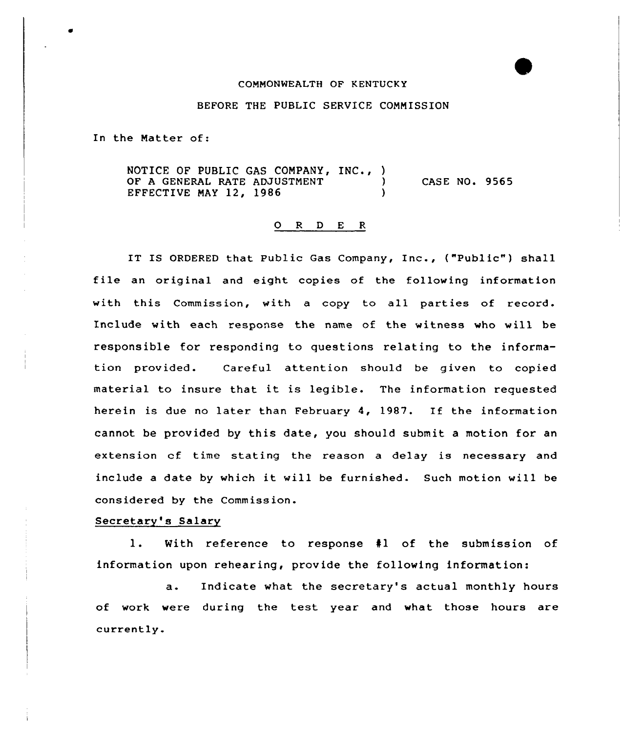#### COMMONWEALTH OF KENTUCKY

### BEFORE THE PUBLIC SERVICE COMMISSION

In the Matter of:

NOTICE OF PUBLIC GAS COMPANY, INC., )<br>OF A GENERAL RATE ADJUSTMENT OF A GENERAL RATE ADJUSTMENT EFFECTIVE MAY 12, 1986 ) CASE NO. 9565

# 0 <sup>R</sup> <sup>D</sup> E <sup>R</sup>

IT IS ORDERED that Public Gas Company, Inc., ("Public") shall file an original and eight copies of the following information with this Commission, with a copy to all parties of record. Include with each response the name of the witness who will be responsible for responding to questions relating to the information provided. Careful attention should be given to copied material to insure that it is legible. The information requested herein is due no later than February 4, 1987. If the information cannot be provided by this date, you should submit a motion for an extension cf time stating the reason <sup>a</sup> delay is necessary and include <sup>a</sup> date by which it will be furnished. Such motion will be considered by the Commission.

#### Secretary's Salary

1. With reference to response <sup>41</sup> of the submission of information upon rehearing, provide the following information:

a. Indicate what the secretary's actual monthly hours of work were during the test year and what those hours are currently.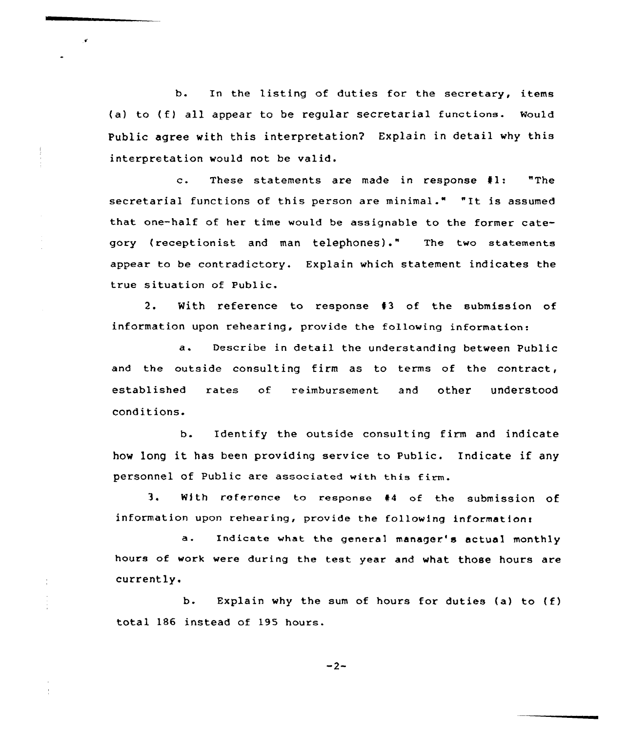b. In the listing of duties for the secretary, items (a) to (f) all appear to be regular secretarial functions. Mould Public agree with this interpretation? Explain in detail why this interpretation would not be valid.

 $\mathbf{r}$ 

c. These statements are made in response fl: "The secretarial functions of this person are minimal." "It is assumed that one-half of her time would be assignable to the former category (receptionist and man telephones)." The two statements appear to be contradictory. Explain which statement indicates the true situation of Public.

2. With reference to response 43 of the submission of information upon rehearing, provide the following information:

a. Describe in detail the understanding between Public and the outside consulting firm as to terms of the contract, established rates of reimbursement and other understood conditions.

b. Identify the outside consulting firm and indicate how long it has been providing service to Public. Indicate if any personnel of Public are associated with this firm.

3. With reference to response #4 of the submission of information upon rehearing, provide the following information:

a. Indicate what the general manager's actual monthly hours of work were during the test year and what those hours are currently.

b. Explain why the sum of hours for duties (a) to  $(f)$ total 186 instead of 195 hours.

 $-2-$